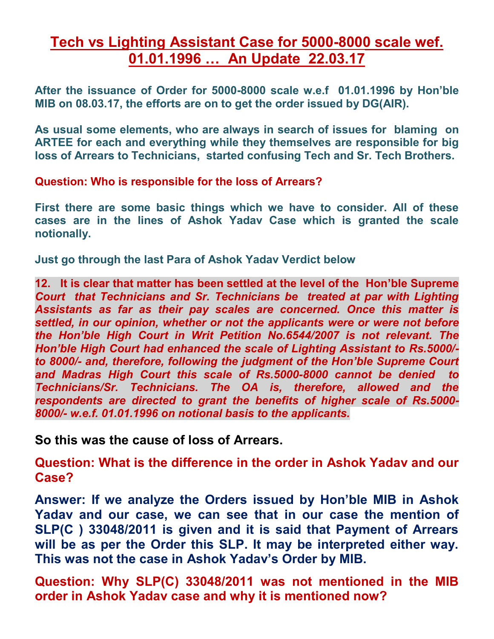## **Tech vs Lighting Assistant Case for 5000-8000 scale wef. 01.01.1996 … An Update 22.03.17**

**After the issuance of Order for 5000-8000 scale w.e.f 01.01.1996 by Hon'ble MIB on 08.03.17, the efforts are on to get the order issued by DG(AIR).** 

**As usual some elements, who are always in search of issues for blaming on ARTEE for each and everything while they themselves are responsible for big loss of Arrears to Technicians, started confusing Tech and Sr. Tech Brothers.** 

**Question: Who is responsible for the loss of Arrears?** 

**First there are some basic things which we have to consider. All of these cases are in the lines of Ashok Yadav Case which is granted the scale notionally.** 

**Just go through the last Para of Ashok Yadav Verdict below** 

**12. It is clear that matter has been settled at the level of the Hon'ble Supreme**  *Court that Technicians and Sr. Technicians be treated at par with Lighting Assistants as far as their pay scales are concerned. Once this matter is*  settled, in our opinion, whether or not the applicants were or were not before *the Hon'ble High Court in Writ Petition No.6544/2007 is not relevant. The Hon'ble High Court had enhanced the scale of Lighting Assistant to Rs.5000/ to 8000/- and, therefore, following the judgment of the Hon'ble Supreme Court and Madras High Court this scale of Rs.5000-8000 cannot be denied to Technicians/Sr. Technicians. The OA is, therefore, allowed and the respondents are directed to grant the benefits of higher scale of Rs.5000- 8000/- w.e.f. 01.01.1996 on notional basis to the applicants.*

**So this was the cause of loss of Arrears.** 

**Question: What is the difference in the order in Ashok Yadav and our Case?**

**Answer: If we analyze the Orders issued by Hon'ble MIB in Ashok Yadav and our case, we can see that in our case the mention of SLP(C ) 33048/2011 is given and it is said that Payment of Arrears will be as per the Order this SLP. It may be interpreted either way. This was not the case in Ashok Yadav's Order by MIB.**

**Question: Why SLP(C) 33048/2011 was not mentioned in the MIB order in Ashok Yadav case and why it is mentioned now?**